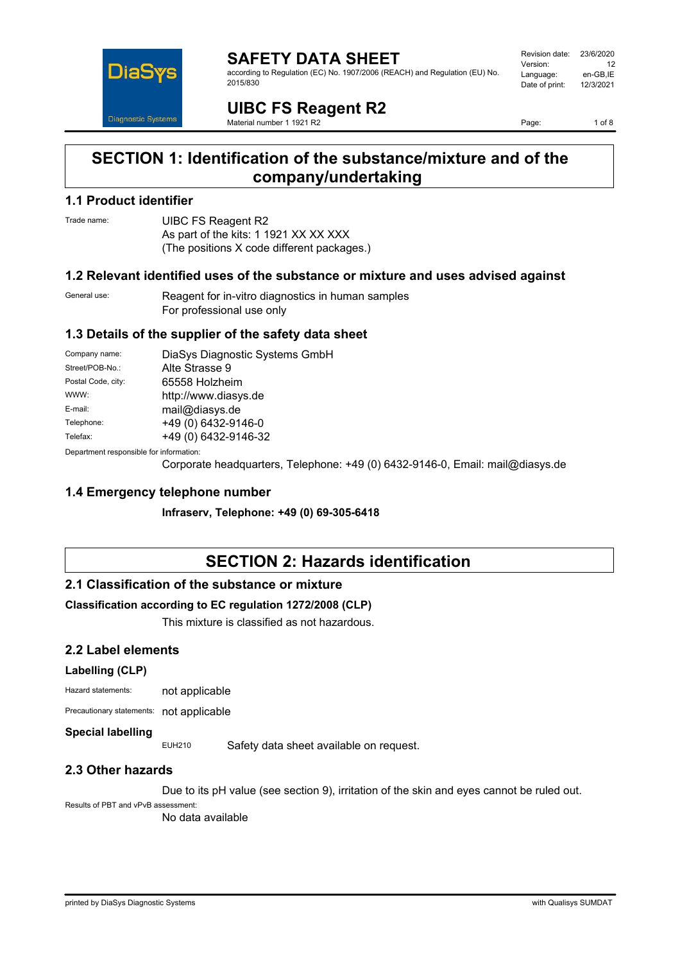

#### **SAFETY DATA SHEET** according to Regulation (EC) No. 1907/2006 (REACH) and Regulation (EU) No. 2015/830

| Revision date: | 23/6/2020 |
|----------------|-----------|
| Version:       | 12        |
| Language:      | en-GB.IE  |
| Date of print: | 12/3/2021 |
|                |           |

**UIBC FS Reagent R2** Material number 1 1921 R2

Page: 1 of 8

## **SECTION 1: Identification of the substance/mixture and of the company/undertaking**

### **1.1 Product identifier**

Trade name: **UIBC FS Reagent R2** As part of the kits: 1 1921 XX XX XXX (The positions X code different packages.)

### **1.2 Relevant identified uses of the substance or mixture and uses advised against**

General use: Reagent for in-vitro diagnostics in human samples For professional use only

### **1.3 Details of the supplier of the safety data sheet**

| Company name:                            | DiaSys Diagnostic Systems GmbH |  |
|------------------------------------------|--------------------------------|--|
| Street/POB-No.:                          | Alte Strasse 9                 |  |
| Postal Code, city:                       | 65558 Holzheim                 |  |
| WWW:                                     | http://www.diasys.de           |  |
| E-mail:                                  | mail@diasys.de                 |  |
| Telephone:                               | +49 (0) 6432-9146-0            |  |
| Telefax:                                 | +49 (0) 6432-9146-32           |  |
| Denemberek vernemaikte fan informaatien: |                                |  |

Department responsible for information:

Corporate headquarters, Telephone: +49 (0) 6432-9146-0, Email: mail@diasys.de

### **1.4 Emergency telephone number**

**Infraserv, Telephone: +49 (0) 69-305-6418**

# **SECTION 2: Hazards identification**

### **2.1 Classification of the substance or mixture**

### **Classification according to EC regulation 1272/2008 (CLP)**

This mixture is classified as not hazardous.

### **2.2 Label elements**

### **Labelling (CLP)**

Hazard statements: not applicable

Precautionary statements: not applicable

### **Special labelling**

EUH210 Safety data sheet available on request.

### **2.3 Other hazards**

Due to its pH value (see section 9), irritation of the skin and eyes cannot be ruled out.

Results of PBT and vPvB assessment:

No data available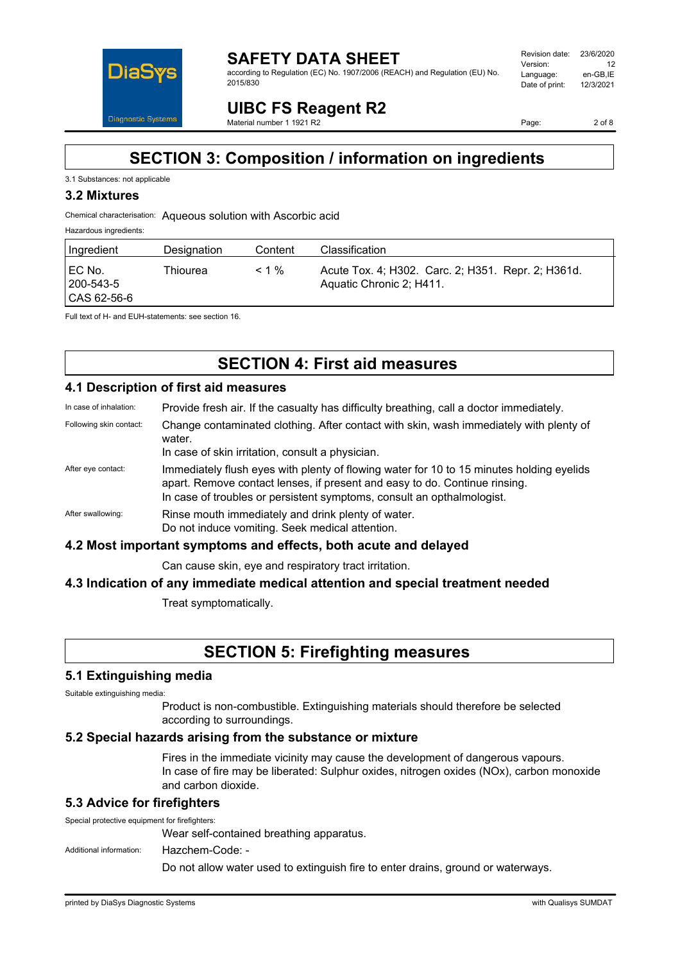

#### **SAFETY DATA SHEET** according to Regulation (EC) No. 1907/2006 (REACH) and Regulation (EU) No. 2015/830

| Revision date: | 23/6/2020 |
|----------------|-----------|
| Version:       | 12        |
| Language:      | en-GB.IE  |
| Date of print: | 12/3/2021 |
|                |           |

**UIBC FS Reagent R2** Material number 1 1921 R2

Page: 2 of 8

## **SECTION 3: Composition / information on ingredients**

#### 3.1 Substances: not applicable

### **3.2 Mixtures**

Chemical characterisation: Aqueous solution with Ascorbic acid

#### Hazardous ingredients:

| Ingredient                             | Designation | Content  | Classification                                                                 |
|----------------------------------------|-------------|----------|--------------------------------------------------------------------------------|
| I EC No.<br>  200-543-5<br>CAS 62-56-6 | Thiourea    | $< 1 \%$ | Acute Tox. 4; H302. Carc. 2; H351. Repr. 2; H361d.<br>Aquatic Chronic 2; H411. |

Full text of H- and EUH-statements: see section 16.

# **SECTION 4: First aid measures**

### **4.1 Description of first aid measures**

In case of inhalation: Provide fresh air. If the casualty has difficulty breathing, call a doctor immediately.

Following skin contact: Change contaminated clothing. After contact with skin, wash immediately with plenty of water.

In case of skin irritation, consult a physician.

- After eye contact: Immediately flush eyes with plenty of flowing water for 10 to 15 minutes holding eyelids apart. Remove contact lenses, if present and easy to do. Continue rinsing. In case of troubles or persistent symptoms, consult an opthalmologist.
- After swallowing: Rinse mouth immediately and drink plenty of water. Do not induce vomiting. Seek medical attention.

### **4.2 Most important symptoms and effects, both acute and delayed**

Can cause skin, eye and respiratory tract irritation.

### **4.3 Indication of any immediate medical attention and special treatment needed**

Treat symptomatically.

# **SECTION 5: Firefighting measures**

### **5.1 Extinguishing media**

Suitable extinguishing media:

Product is non-combustible. Extinguishing materials should therefore be selected according to surroundings.

### **5.2 Special hazards arising from the substance or mixture**

Fires in the immediate vicinity may cause the development of dangerous vapours. In case of fire may be liberated: Sulphur oxides, nitrogen oxides (NOx), carbon monoxide and carbon dioxide.

### **5.3 Advice for firefighters**

Special protective equipment for firefighters:

Wear self-contained breathing apparatus.

Additional information: Hazchem-Code: -

Do not allow water used to extinguish fire to enter drains, ground or waterways.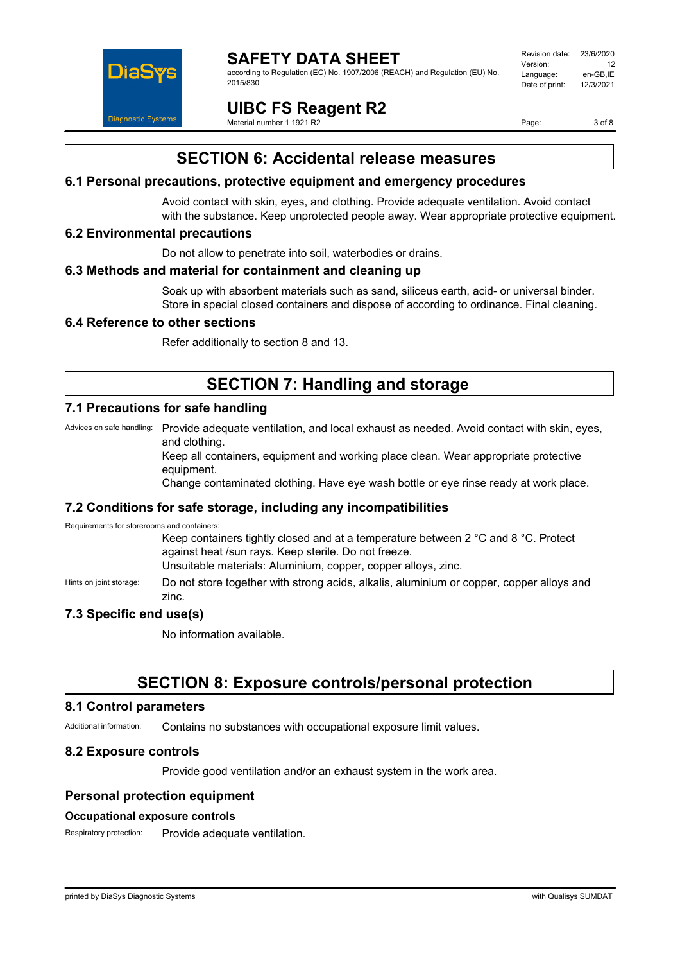

according to Regulation (EC) No. 1907/2006 (REACH) and Regulation (EU) No. 2015/830

Revision date: 23/6/2020 Version: 12<br>Language: en-GB.IE Language: en-GB,IE<br>Date of print: 12/3/2021 Date of print:

**UIBC FS Reagent R2**

Material number 1 1921 R2

Page: 3 of 8

# **SECTION 6: Accidental release measures**

### **6.1 Personal precautions, protective equipment and emergency procedures**

Avoid contact with skin, eyes, and clothing. Provide adequate ventilation. Avoid contact with the substance. Keep unprotected people away. Wear appropriate protective equipment.

### **6.2 Environmental precautions**

Do not allow to penetrate into soil, waterbodies or drains.

### **6.3 Methods and material for containment and cleaning up**

Soak up with absorbent materials such as sand, siliceus earth, acid- or universal binder. Store in special closed containers and dispose of according to ordinance. Final cleaning.

### **6.4 Reference to other sections**

Refer additionally to section 8 and 13.

# **SECTION 7: Handling and storage**

### **7.1 Precautions for safe handling**

Advices on safe handling: Provide adequate ventilation, and local exhaust as needed. Avoid contact with skin, eyes, and clothing.

> Keep all containers, equipment and working place clean. Wear appropriate protective equipment.

Change contaminated clothing. Have eye wash bottle or eye rinse ready at work place.

### **7.2 Conditions for safe storage, including any incompatibilities**

Requirements for storerooms and containers:

Keep containers tightly closed and at a temperature between 2 °C and 8 °C. Protect against heat /sun rays. Keep sterile. Do not freeze. Unsuitable materials: Aluminium, copper, copper alloys, zinc.

Hints on joint storage: Do not store together with strong acids, alkalis, aluminium or copper, copper alloys and zinc.

### **7.3 Specific end use(s)**

No information available.

### **SECTION 8: Exposure controls/personal protection**

### **8.1 Control parameters**

Additional information: Contains no substances with occupational exposure limit values.

### **8.2 Exposure controls**

Provide good ventilation and/or an exhaust system in the work area.

### **Personal protection equipment**

#### **Occupational exposure controls**

Respiratory protection: Provide adequate ventilation.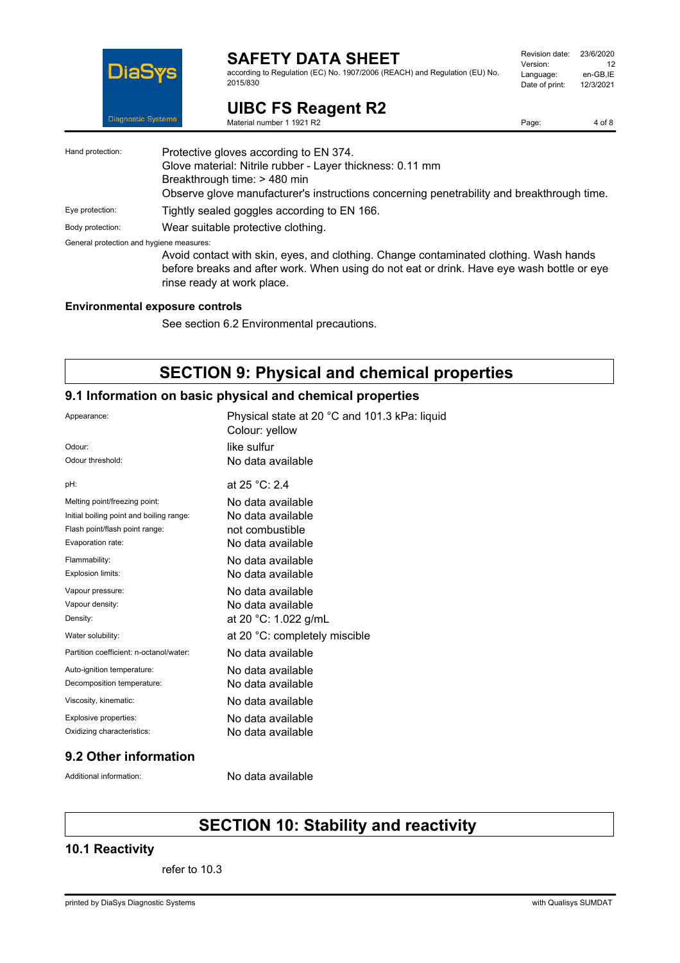

according to Regulation (EC) No. 1907/2006 (REACH) and Regulation (EU) No. 2015/830

| Revision date: | 23/6/2020 |
|----------------|-----------|
| Version:       | 12        |
| Language:      | en-GB.IE  |
| Date of print: | 12/3/2021 |
|                |           |

Page: 4 of 8

**UIBC FS Reagent R2** Material number 1 1921 R2

| Hand protection:                         | Protective gloves according to EN 374.                                                    |
|------------------------------------------|-------------------------------------------------------------------------------------------|
|                                          | Glove material: Nitrile rubber - Layer thickness: 0.11 mm                                 |
|                                          | Breakthrough time: > 480 min                                                              |
|                                          | Observe glove manufacturer's instructions concerning penetrability and breakthrough time. |
| Eye protection:                          | Tightly sealed goggles according to EN 166.                                               |
| Body protection:                         | Wear suitable protective clothing.                                                        |
| General protection and hygiene measures: |                                                                                           |
|                                          | Avoid contact with skin, eyes, and clothing. Change contaminated clothing. Wash hands     |
|                                          | before breaks and after work. When using do not eat or drink. Have eye wash bottle or eye |
|                                          | rinse ready at work place.                                                                |

### **Environmental exposure controls**

See section 6.2 Environmental precautions.

# **SECTION 9: Physical and chemical properties**

### **9.1 Information on basic physical and chemical properties**

| Appearance:                              | Physical state at 20 °C and 101.3 kPa: liquid<br>Colour: yellow |
|------------------------------------------|-----------------------------------------------------------------|
| Odour <sup>-</sup>                       | like sulfur                                                     |
| Odour threshold:                         | No data available                                               |
| pH:                                      | at 25 °C: 2.4                                                   |
| Melting point/freezing point:            | No data available                                               |
| Initial boiling point and boiling range: | No data available                                               |
| Flash point/flash point range:           | not combustible                                                 |
| Evaporation rate:                        | No data available                                               |
| Flammability:                            | No data available                                               |
| Explosion limits:                        | No data available                                               |
| Vapour pressure:                         | No data available                                               |
| Vapour density:                          | No data available                                               |
| Density:                                 | at 20 °C: 1.022 g/mL                                            |
| Water solubility:                        | at 20 °C: completely miscible                                   |
| Partition coefficient: n-octanol/water:  | No data available                                               |
| Auto-ignition temperature:               | No data available                                               |
| Decomposition temperature:               | No data available                                               |
| Viscosity, kinematic:                    | No data available                                               |
| Explosive properties:                    | No data available                                               |
| Oxidizing characteristics:               | No data available                                               |
|                                          |                                                                 |

### **9.2 Other information**

Additional information: No data available

# **SECTION 10: Stability and reactivity**

### **10.1 Reactivity**

refer to 10.3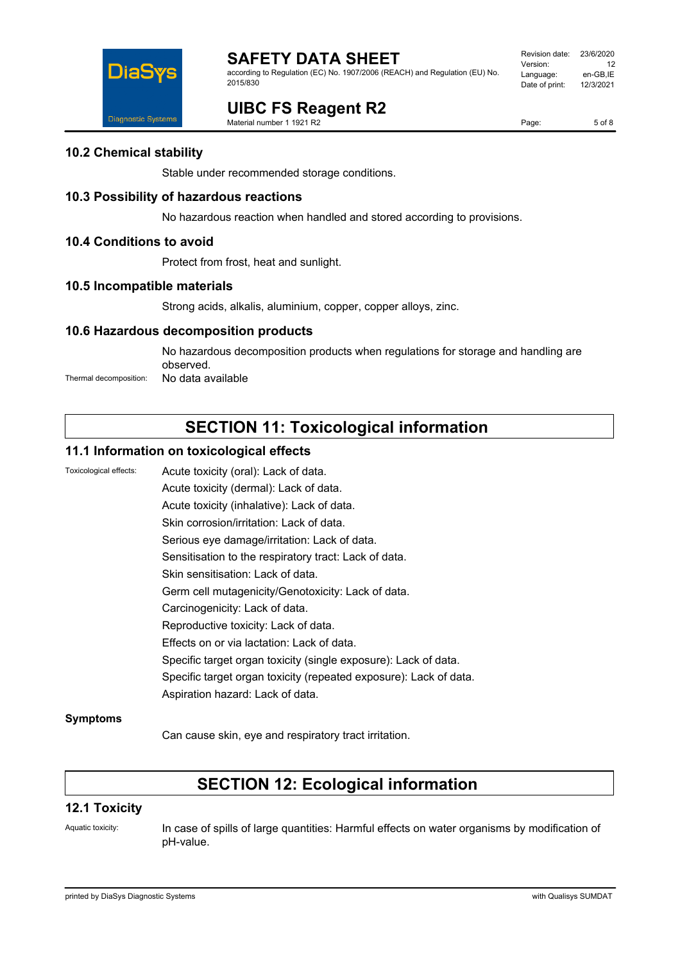

according to Regulation (EC) No. 1907/2006 (REACH) and Regulation (EU) No. 2015/830

#### Revision date: 23/6/2020 Version: 12<br>Language: en-GB.IE Language: en-GB,IE<br>Date of print: 12/3/2021 Date of print:

# **UIBC FS Reagent R2**

Material number 1 1921 R2

Page: 5 of 8

### **10.2 Chemical stability**

Stable under recommended storage conditions.

### **10.3 Possibility of hazardous reactions**

No hazardous reaction when handled and stored according to provisions.

### **10.4 Conditions to avoid**

Protect from frost, heat and sunlight.

### **10.5 Incompatible materials**

Strong acids, alkalis, aluminium, copper, copper alloys, zinc.

### **10.6 Hazardous decomposition products**

No hazardous decomposition products when regulations for storage and handling are observed. Thermal decomposition: No data available

# **SECTION 11: Toxicological information**

### **11.1 Information on toxicological effects**

Toxicological effects: Acute toxicity (oral): Lack of data. Acute toxicity (dermal): Lack of data. Acute toxicity (inhalative): Lack of data. Skin corrosion/irritation: Lack of data. Serious eye damage/irritation: Lack of data. Sensitisation to the respiratory tract: Lack of data. Skin sensitisation: Lack of data. Germ cell mutagenicity/Genotoxicity: Lack of data. Carcinogenicity: Lack of data. Reproductive toxicity: Lack of data. Effects on or via lactation: Lack of data. Specific target organ toxicity (single exposure): Lack of data. Specific target organ toxicity (repeated exposure): Lack of data. Aspiration hazard: Lack of data.

### **Symptoms**

Can cause skin, eye and respiratory tract irritation.

# **SECTION 12: Ecological information**

### **12.1 Toxicity**

Aquatic toxicity: In case of spills of large quantities: Harmful effects on water organisms by modification of pH-value.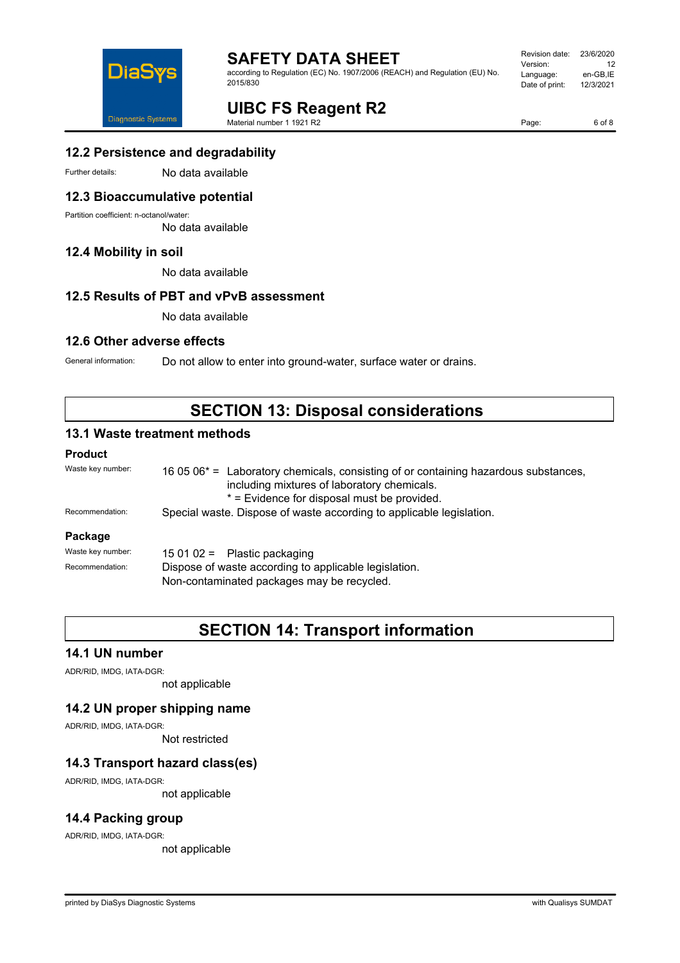

according to Regulation (EC) No. 1907/2006 (REACH) and Regulation (EU) No. 2015/830

| Revision date: | 23/6/2020 |
|----------------|-----------|
| Version:       | 12        |
| Language:      | en-GB,IE  |
| Date of print: | 12/3/2021 |
|                |           |

# **UIBC FS Reagent R2**

Material number 1 1921 R2

Page: 6 of 8

### **12.2 Persistence and degradability**

Further details: No data available

### **12.3 Bioaccumulative potential**

Partition coefficient: n-octanol/water:

No data available

### **12.4 Mobility in soil**

No data available

### **12.5 Results of PBT and vPvB assessment**

No data available

### **12.6 Other adverse effects**

General information: Do not allow to enter into ground-water, surface water or drains.

## **SECTION 13: Disposal considerations**

### **13.1 Waste treatment methods**

### **Product**

| Waste key number: | 16 05 06 <sup>*</sup> = Laboratory chemicals, consisting of or containing hazardous substances,<br>including mixtures of laboratory chemicals.<br>* = Evidence for disposal must be provided. |  |
|-------------------|-----------------------------------------------------------------------------------------------------------------------------------------------------------------------------------------------|--|
| Recommendation:   | Special waste. Dispose of waste according to applicable legislation.                                                                                                                          |  |
| Package           |                                                                                                                                                                                               |  |
| Waste key number: | 15 01 02 = Plastic packaging                                                                                                                                                                  |  |
| Recommendation:   | Dispose of waste according to applicable legislation.                                                                                                                                         |  |

Non-contaminated packages may be recycled.

### **SECTION 14: Transport information**

### **14.1 UN number**

ADR/RID, IMDG, IATA-DGR:

not applicable

### **14.2 UN proper shipping name**

ADR/RID, IMDG, IATA-DGR:

Not restricted

### **14.3 Transport hazard class(es)**

ADR/RID, IMDG, IATA-DGR:

not applicable

### **14.4 Packing group**

ADR/RID, IMDG, IATA-DGR:

not applicable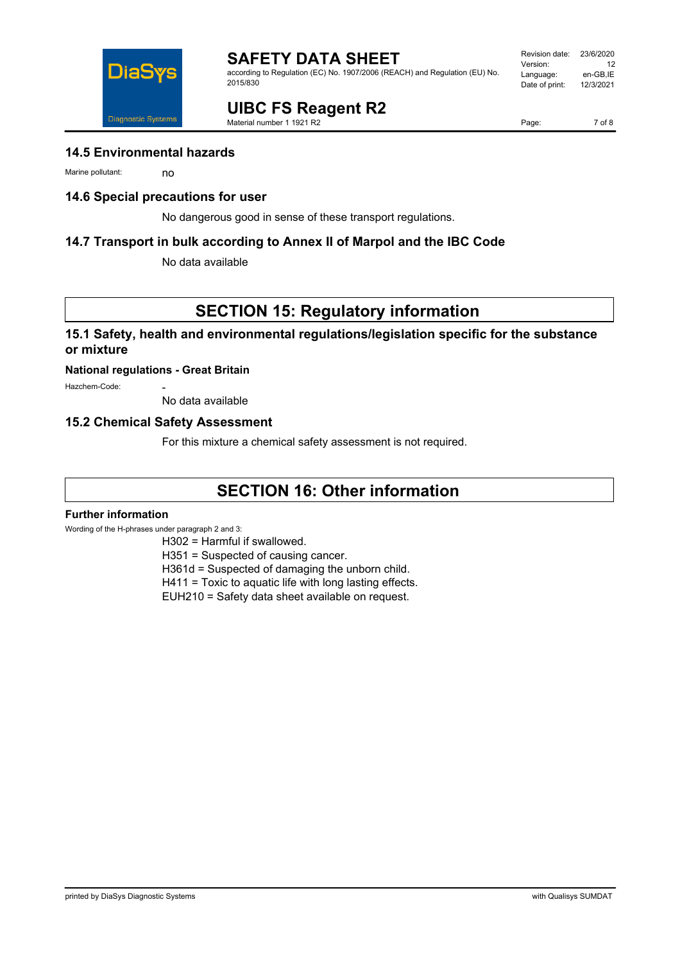

according to Regulation (EC) No. 1907/2006 (REACH) and Regulation (EU) No. 2015/830

# **UIBC FS Reagent R2**

Material number 1 1921 R2

### **14.5 Environmental hazards**

Marine pollutant: no

### **14.6 Special precautions for user**

No dangerous good in sense of these transport regulations.

### **14.7 Transport in bulk according to Annex II of Marpol and the IBC Code**

No data available

## **SECTION 15: Regulatory information**

### **15.1 Safety, health and environmental regulations/legislation specific for the substance or mixture**

### **National regulations - Great Britain**

Hazchem-Code:

No data available

### **15.2 Chemical Safety Assessment**

For this mixture a chemical safety assessment is not required.

### **SECTION 16: Other information**

#### **Further information**

Wording of the H-phrases under paragraph 2 and 3:

H302 = Harmful if swallowed.

H351 = Suspected of causing cancer.

H361d = Suspected of damaging the unborn child.

H411 = Toxic to aquatic life with long lasting effects.

EUH210 = Safety data sheet available on request.



Page: 7 of 8